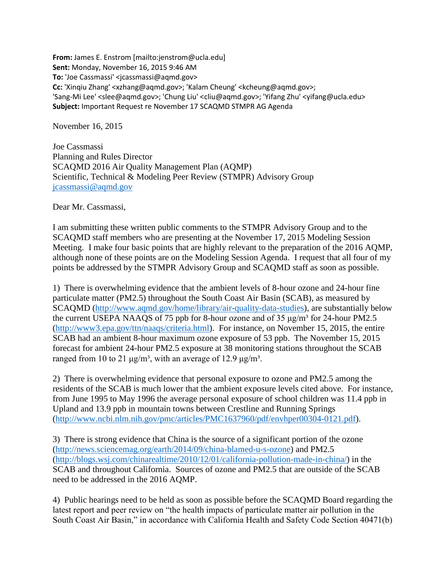**From:** James E. Enstrom [mailto:jenstrom@ucla.edu] **Sent:** Monday, November 16, 2015 9:46 AM To: 'Joe Cassmassi' <jcassmassi@aqmd.gov> **Cc:** 'Xinqiu Zhang' <xzhang@aqmd.gov>; 'Kalam Cheung' <kcheung@aqmd.gov>; 'Sang-Mi Lee' <slee@aqmd.gov>; 'Chung Liu' <cliu@aqmd.gov>; 'Yifang Zhu' <yifang@ucla.edu> **Subject:** Important Request re November 17 SCAQMD STMPR AG Agenda

November 16, 2015

Joe Cassmassi Planning and Rules Director SCAQMD 2016 Air Quality Management Plan (AQMP) Scientific, Technical & Modeling Peer Review (STMPR) Advisory Group [jcassmassi@aqmd.gov](mailto:jcassmassi@aqmd.gov)

Dear Mr. Cassmassi,

I am submitting these written public comments to the STMPR Advisory Group and to the SCAQMD staff members who are presenting at the November 17, 2015 Modeling Session Meeting. I make four basic points that are highly relevant to the preparation of the 2016 AQMP, although none of these points are on the Modeling Session Agenda. I request that all four of my points be addressed by the STMPR Advisory Group and SCAQMD staff as soon as possible.

1) There is overwhelming evidence that the ambient levels of 8-hour ozone and 24-hour fine particulate matter (PM2.5) throughout the South Coast Air Basin (SCAB), as measured by SCAQMD [\(http://www.aqmd.gov/home/library/air-quality-data-studies\)](http://www.aqmd.gov/home/library/air-quality-data-studies), are substantially below the current USEPA NAAQS of 75 ppb for 8-hour ozone and of 35  $\mu$ g/m<sup>3</sup> for 24-hour PM2.5 [\(http://www3.epa.gov/ttn/naaqs/criteria.html\)](http://www3.epa.gov/ttn/naaqs/criteria.html). For instance, on November 15, 2015, the entire SCAB had an ambient 8-hour maximum ozone exposure of 53 ppb. The November 15, 2015 forecast for ambient 24-hour PM2.5 exposure at 38 monitoring stations throughout the SCAB ranged from 10 to 21 μg/m<sup>3</sup>, with an average of 12.9 μg/m<sup>3</sup>.

2) There is overwhelming evidence that personal exposure to ozone and PM2.5 among the residents of the SCAB is much lower that the ambient exposure levels cited above. For instance, from June 1995 to May 1996 the average personal exposure of school children was 11.4 ppb in Upland and 13.9 ppb in mountain towns between Crestline and Running Springs [\(http://www.ncbi.nlm.nih.gov/pmc/articles/PMC1637960/pdf/envhper00304-0121.pdf\)](http://www.ncbi.nlm.nih.gov/pmc/articles/PMC1637960/pdf/envhper00304-0121.pdf).

3) There is strong evidence that China is the source of a significant portion of the ozone [\(http://news.sciencemag.org/earth/2014/09/china-blamed-u-s-ozone\)](http://news.sciencemag.org/earth/2014/09/china-blamed-u-s-ozone) and PM2.5 [\(http://blogs.wsj.com/chinarealtime/2010/12/01/california-pollution-made-in-china/\)](http://blogs.wsj.com/chinarealtime/2010/12/01/california-pollution-made-in-china/) in the SCAB and throughout California. Sources of ozone and PM2.5 that are outside of the SCAB need to be addressed in the 2016 AQMP.

4) Public hearings need to be held as soon as possible before the SCAQMD Board regarding the latest report and peer review on "the health impacts of particulate matter air pollution in the South Coast Air Basin," in accordance with California Health and Safety Code Section 40471(b)